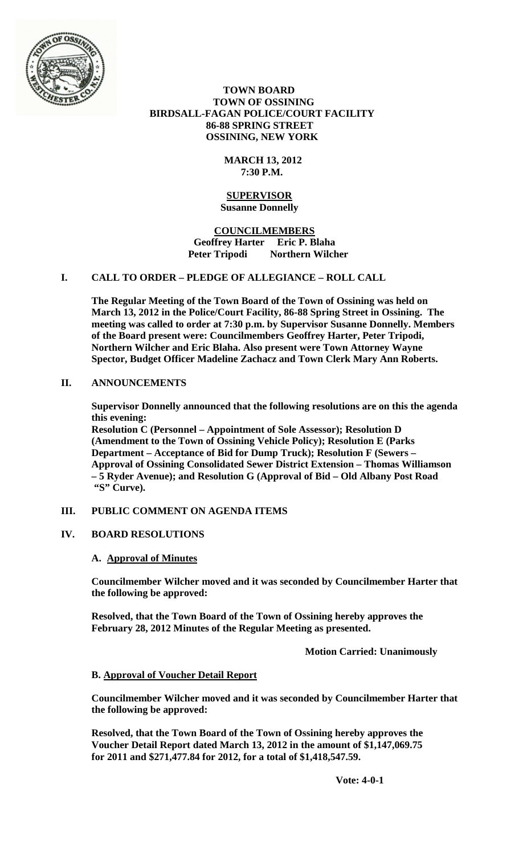

 **TOWN BOARD TOWN OF OSSINING BIRDSALL-FAGAN POLICE/COURT FACILITY 86-88 SPRING STREET OSSINING, NEW YORK**

### **MARCH 13, 2012 7:30 P.M.**

### **SUPERVISOR Susanne Donnelly**

### **COUNCILMEMBERS Geoffrey Harter Eric P. Blaha Peter Tripodi Northern Wilcher**

# **I. CALL TO ORDER – PLEDGE OF ALLEGIANCE – ROLL CALL**

**The Regular Meeting of the Town Board of the Town of Ossining was held on March 13, 2012 in the Police/Court Facility, 86-88 Spring Street in Ossining. The meeting was called to order at 7:30 p.m. by Supervisor Susanne Donnelly. Members of the Board present were: Councilmembers Geoffrey Harter, Peter Tripodi, Northern Wilcher and Eric Blaha. Also present were Town Attorney Wayne Spector, Budget Officer Madeline Zachacz and Town Clerk Mary Ann Roberts.**

# **II. ANNOUNCEMENTS**

**Supervisor Donnelly announced that the following resolutions are on this the agenda this evening:**

**Resolution C (Personnel – Appointment of Sole Assessor); Resolution D (Amendment to the Town of Ossining Vehicle Policy); Resolution E (Parks Department – Acceptance of Bid for Dump Truck); Resolution F (Sewers – Approval of Ossining Consolidated Sewer District Extension – Thomas Williamson – 5 Ryder Avenue); and Resolution G (Approval of Bid – Old Albany Post Road "S" Curve).**

## **III. PUBLIC COMMENT ON AGENDA ITEMS**

### **IV. BOARD RESOLUTIONS**

### **A. Approval of Minutes**

**Councilmember Wilcher moved and it was seconded by Councilmember Harter that the following be approved:**

**Resolved, that the Town Board of the Town of Ossining hereby approves the February 28, 2012 Minutes of the Regular Meeting as presented.**

**Motion Carried: Unanimously**

### **B. Approval of Voucher Detail Report**

**Councilmember Wilcher moved and it was seconded by Councilmember Harter that the following be approved:**

**Resolved, that the Town Board of the Town of Ossining hereby approves the Voucher Detail Report dated March 13, 2012 in the amount of \$1,147,069.75 for 2011 and \$271,477.84 for 2012, for a total of \$1,418,547.59.**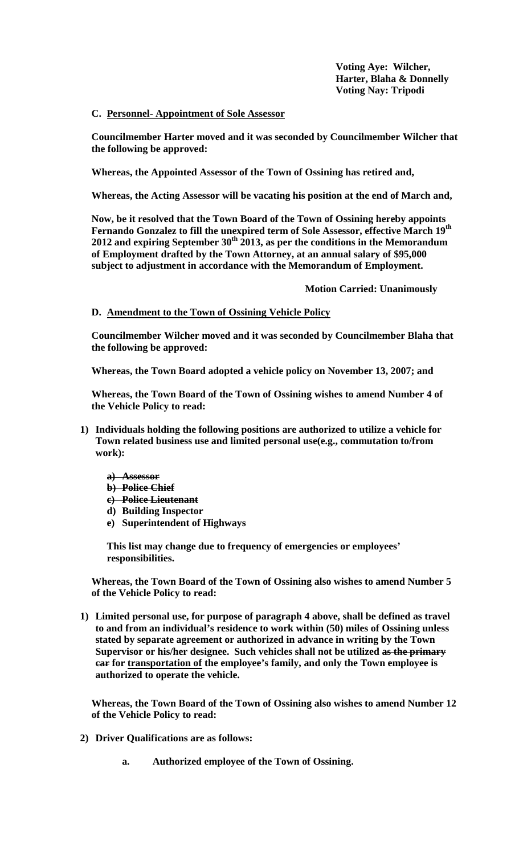**Voting Aye: Wilcher, Harter, Blaha & Donnelly Voting Nay: Tripodi**

**C. Personnel- Appointment of Sole Assessor**

**Councilmember Harter moved and it was seconded by Councilmember Wilcher that the following be approved:**

**Whereas, the Appointed Assessor of the Town of Ossining has retired and,**

**Whereas, the Acting Assessor will be vacating his position at the end of March and,**

**Now, be it resolved that the Town Board of the Town of Ossining hereby appoints Fernando Gonzalez to fill the unexpired term of Sole Assessor, effective March 19th 2012 and expiring September 30th 2013, as per the conditions in the Memorandum of Employment drafted by the Town Attorney, at an annual salary of \$95,000 subject to adjustment in accordance with the Memorandum of Employment.**

**Motion Carried: Unanimously**

### **D. Amendment to the Town of Ossining Vehicle Policy**

**Councilmember Wilcher moved and it was seconded by Councilmember Blaha that the following be approved:**

**Whereas, the Town Board adopted a vehicle policy on November 13, 2007; and**

**Whereas, the Town Board of the Town of Ossining wishes to amend Number 4 of the Vehicle Policy to read:**

- **1) Individuals holding the following positions are authorized to utilize a vehicle for Town related business use and limited personal use(e.g., commutation to/from work):**
	- **a) Assessor**
	- **b) Police Chief**
	- **c) Police Lieutenant**
	- **d) Building Inspector**
	- **e) Superintendent of Highways**

**This list may change due to frequency of emergencies or employees' responsibilities.**

**Whereas, the Town Board of the Town of Ossining also wishes to amend Number 5 of the Vehicle Policy to read:**

**1) Limited personal use, for purpose of paragraph 4 above, shall be defined as travel to and from an individual's residence to work within (50) miles of Ossining unless stated by separate agreement or authorized in advance in writing by the Town Supervisor or his/her designee. Such vehicles shall not be utilized as the primary car for transportation of the employee's family, and only the Town employee is authorized to operate the vehicle.**

**Whereas, the Town Board of the Town of Ossining also wishes to amend Number 12 of the Vehicle Policy to read:**

- **2) Driver Qualifications are as follows:**
	- **a. Authorized employee of the Town of Ossining.**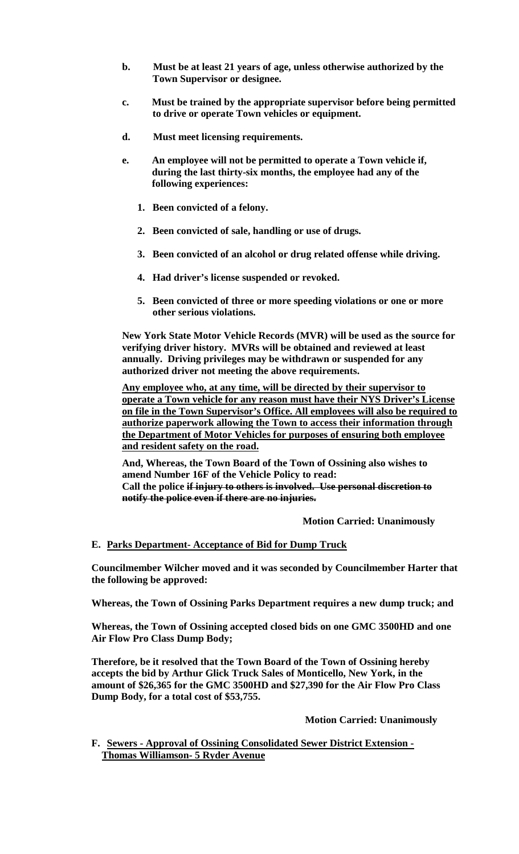- **b. Must be at least 21 years of age, unless otherwise authorized by the Town Supervisor or designee.**
- **c. Must be trained by the appropriate supervisor before being permitted to drive or operate Town vehicles or equipment.**
- **d. Must meet licensing requirements.**
- **e. An employee will not be permitted to operate a Town vehicle if, during the last thirty-six months, the employee had any of the following experiences:**
	- **1. Been convicted of a felony.**
	- **2. Been convicted of sale, handling or use of drugs.**
	- **3. Been convicted of an alcohol or drug related offense while driving.**
	- **4. Had driver's license suspended or revoked.**
	- **5. Been convicted of three or more speeding violations or one or more other serious violations.**

**New York State Motor Vehicle Records (MVR) will be used as the source for verifying driver history. MVRs will be obtained and reviewed at least annually. Driving privileges may be withdrawn or suspended for any authorized driver not meeting the above requirements.**

**Any employee who, at any time, will be directed by their supervisor to operate a Town vehicle for any reason must have their NYS Driver's License on file in the Town Supervisor's Office. All employees will also be required to authorize paperwork allowing the Town to access their information through the Department of Motor Vehicles for purposes of ensuring both employee and resident safety on the road.**

**And, Whereas, the Town Board of the Town of Ossining also wishes to amend Number 16F of the Vehicle Policy to read: Call the police if injury to others is involved. Use personal discretion to notify the police even if there are no injuries.**

 **Motion Carried: Unanimously**

### **E. Parks Department- Acceptance of Bid for Dump Truck**

**Councilmember Wilcher moved and it was seconded by Councilmember Harter that the following be approved:**

**Whereas, the Town of Ossining Parks Department requires a new dump truck; and**

**Whereas, the Town of Ossining accepted closed bids on one GMC 3500HD and one Air Flow Pro Class Dump Body;** 

**Therefore, be it resolved that the Town Board of the Town of Ossining hereby accepts the bid by Arthur Glick Truck Sales of Monticello, New York, in the amount of \$26,365 for the GMC 3500HD and \$27,390 for the Air Flow Pro Class Dump Body, for a total cost of \$53,755.**

**Motion Carried: Unanimously**

**F. Sewers - Approval of Ossining Consolidated Sewer District Extension - Thomas Williamson- 5 Ryder Avenue**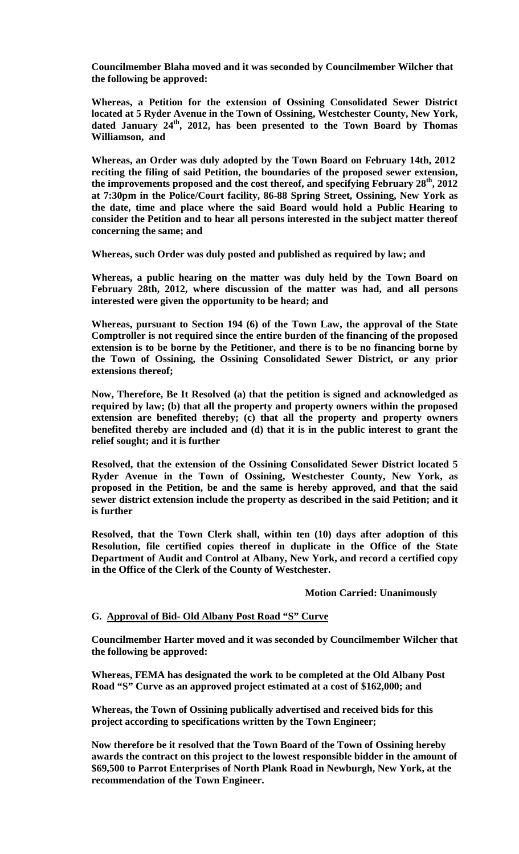**Councilmember Blaha moved and it was seconded by Councilmember Wilcher that the following be approved:**

**Whereas, a Petition for the extension of Ossining Consolidated Sewer District located at 5 Ryder Avenue in the Town of Ossining, Westchester County, New York,**  dated January 24<sup>th</sup>, 2012, has been presented to the Town Board by Thomas **Williamson, and**

**Whereas, an Order was duly adopted by the Town Board on February 14th, 2012 reciting the filing of said Petition, the boundaries of the proposed sewer extension, the improvements proposed and the cost thereof, and specifying February 28th, 2012 at 7:30pm in the Police/Court facility, 86-88 Spring Street, Ossining, New York as the date, time and place where the said Board would hold a Public Hearing to consider the Petition and to hear all persons interested in the subject matter thereof concerning the same; and**

**Whereas, such Order was duly posted and published as required by law; and**

**Whereas, a public hearing on the matter was duly held by the Town Board on February 28th, 2012, where discussion of the matter was had, and all persons interested were given the opportunity to be heard; and**

**Whereas, pursuant to Section 194 (6) of the Town Law, the approval of the State Comptroller is not required since the entire burden of the financing of the proposed extension is to be borne by the Petitioner, and there is to be no financing borne by the Town of Ossining, the Ossining Consolidated Sewer District, or any prior extensions thereof;**

**Now, Therefore, Be It Resolved (a) that the petition is signed and acknowledged as required by law; (b) that all the property and property owners within the proposed extension are benefited thereby; (c) that all the property and property owners benefited thereby are included and (d) that it is in the public interest to grant the relief sought; and it is further** 

**Resolved, that the extension of the Ossining Consolidated Sewer District located 5 Ryder Avenue in the Town of Ossining, Westchester County, New York, as proposed in the Petition, be and the same is hereby approved, and that the said sewer district extension include the property as described in the said Petition; and it is further**

**Resolved, that the Town Clerk shall, within ten (10) days after adoption of this Resolution, file certified copies thereof in duplicate in the Office of the State Department of Audit and Control at Albany, New York, and record a certified copy in the Office of the Clerk of the County of Westchester.**

### **Motion Carried: Unanimously**

### **G. Approval of Bid- Old Albany Post Road "S" Curve**

**Councilmember Harter moved and it was seconded by Councilmember Wilcher that the following be approved:**

**Whereas, FEMA has designated the work to be completed at the Old Albany Post Road "S" Curve as an approved project estimated at a cost of \$162,000; and**

**Whereas, the Town of Ossining publically advertised and received bids for this project according to specifications written by the Town Engineer;** 

**Now therefore be it resolved that the Town Board of the Town of Ossining hereby awards the contract on this project to the lowest responsible bidder in the amount of \$69,500 to Parrot Enterprises of North Plank Road in Newburgh, New York, at the recommendation of the Town Engineer.**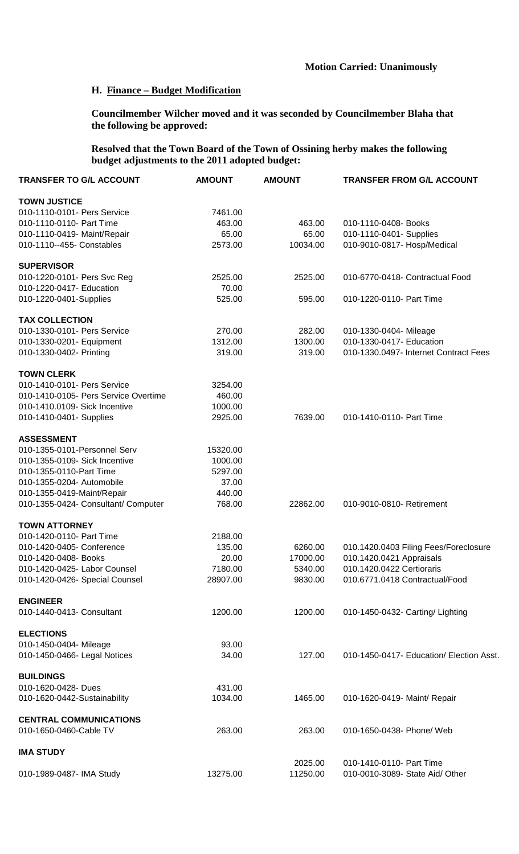# **Motion Carried: Unanimously**

### **H. Finance – Budget Modification**

**Councilmember Wilcher moved and it was seconded by Councilmember Blaha that the following be approved:**

**Resolved that the Town Board of the Town of Ossining herby makes the following budget adjustments to the 2011 adopted budget:**

| <b>TRANSFER TO G/L ACCOUNT</b>       | <b>AMOUNT</b> | <b>AMOUNT</b> | <b>TRANSFER FROM G/L ACCOUNT</b>         |
|--------------------------------------|---------------|---------------|------------------------------------------|
| <b>TOWN JUSTICE</b>                  |               |               |                                          |
| 010-1110-0101- Pers Service          | 7461.00       |               |                                          |
| 010-1110-0110- Part Time             | 463.00        | 463.00        | 010-1110-0408- Books                     |
| 010-1110-0419- Maint/Repair          | 65.00         | 65.00         | 010-1110-0401- Supplies                  |
| 010-1110--455- Constables            | 2573.00       | 10034.00      | 010-9010-0817- Hosp/Medical              |
| <b>SUPERVISOR</b>                    |               |               |                                          |
| 010-1220-0101- Pers Svc Reg          | 2525.00       | 2525.00       | 010-6770-0418- Contractual Food          |
| 010-1220-0417- Education             | 70.00         |               |                                          |
| 010-1220-0401-Supplies               | 525.00        | 595.00        | 010-1220-0110- Part Time                 |
| <b>TAX COLLECTION</b>                |               |               |                                          |
| 010-1330-0101- Pers Service          | 270.00        | 282.00        | 010-1330-0404- Mileage                   |
| 010-1330-0201- Equipment             | 1312.00       | 1300.00       | 010-1330-0417- Education                 |
| 010-1330-0402- Printing              | 319.00        | 319.00        | 010-1330.0497- Internet Contract Fees    |
| <b>TOWN CLERK</b>                    |               |               |                                          |
| 010-1410-0101- Pers Service          | 3254.00       |               |                                          |
| 010-1410-0105- Pers Service Overtime | 460.00        |               |                                          |
| 010-1410.0109- Sick Incentive        | 1000.00       |               |                                          |
| 010-1410-0401- Supplies              | 2925.00       | 7639.00       | 010-1410-0110- Part Time                 |
| <b>ASSESSMENT</b>                    |               |               |                                          |
| 010-1355-0101-Personnel Serv         | 15320.00      |               |                                          |
| 010-1355-0109- Sick Incentive        | 1000.00       |               |                                          |
| 010-1355-0110-Part Time              | 5297.00       |               |                                          |
| 010-1355-0204- Automobile            | 37.00         |               |                                          |
| 010-1355-0419-Maint/Repair           | 440.00        |               |                                          |
| 010-1355-0424- Consultant/ Computer  | 768.00        | 22862.00      | 010-9010-0810- Retirement                |
| <b>TOWN ATTORNEY</b>                 |               |               |                                          |
| 010-1420-0110- Part Time             | 2188.00       |               |                                          |
| 010-1420-0405- Conference            | 135.00        | 6260.00       | 010.1420.0403 Filing Fees/Foreclosure    |
| 010-1420-0408- Books                 | 20.00         | 17000.00      | 010.1420.0421 Appraisals                 |
| 010-1420-0425- Labor Counsel         | 7180.00       | 5340.00       | 010.1420.0422 Certioraris                |
| 010-1420-0426- Special Counsel       | 28907.00      | 9830.00       | 010.6771.0418 Contractual/Food           |
| <b>ENGINEER</b>                      |               |               |                                          |
| 010-1440-0413- Consultant            | 1200.00       | 1200.00       | 010-1450-0432- Carting/ Lighting         |
| <b>ELECTIONS</b>                     |               |               |                                          |
| 010-1450-0404- Mileage               | 93.00         |               |                                          |
| 010-1450-0466- Legal Notices         | 34.00         | 127.00        | 010-1450-0417- Education/ Election Asst. |
| <b>BUILDINGS</b>                     |               |               |                                          |
| 010-1620-0428- Dues                  | 431.00        |               |                                          |
| 010-1620-0442-Sustainability         | 1034.00       | 1465.00       | 010-1620-0419- Maint/ Repair             |
| <b>CENTRAL COMMUNICATIONS</b>        |               |               |                                          |
| 010-1650-0460-Cable TV               | 263.00        | 263.00        | 010-1650-0438- Phone/ Web                |
| <b>IMA STUDY</b>                     |               |               |                                          |
|                                      |               | 2025.00       | 010-1410-0110- Part Time                 |
| 010-1989-0487- IMA Study             | 13275.00      | 11250.00      | 010-0010-3089- State Aid/ Other          |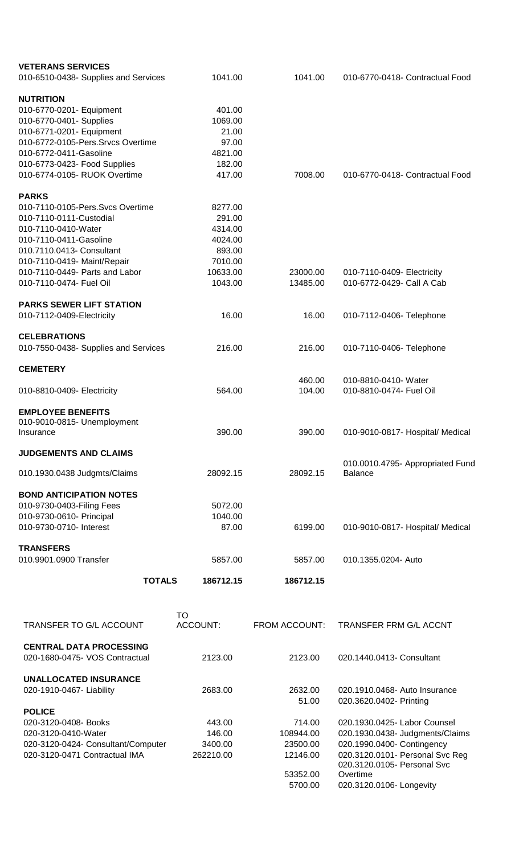| <b>VETERANS SERVICES</b>             |                     |                      |                                                         |
|--------------------------------------|---------------------|----------------------|---------------------------------------------------------|
| 010-6510-0438- Supplies and Services | 1041.00             | 1041.00              | 010-6770-0418- Contractual Food                         |
|                                      |                     |                      |                                                         |
| <b>NUTRITION</b>                     |                     |                      |                                                         |
| 010-6770-0201- Equipment             | 401.00              |                      |                                                         |
| 010-6770-0401- Supplies              | 1069.00             |                      |                                                         |
| 010-6771-0201- Equipment             | 21.00               |                      |                                                         |
| 010-6772-0105-Pers.Srvcs Overtime    | 97.00               |                      |                                                         |
| 010-6772-0411-Gasoline               | 4821.00             |                      |                                                         |
| 010-6773-0423- Food Supplies         | 182.00              |                      |                                                         |
| 010-6774-0105- RUOK Overtime         | 417.00              | 7008.00              | 010-6770-0418- Contractual Food                         |
| <b>PARKS</b>                         |                     |                      |                                                         |
| 010-7110-0105-Pers.Svcs Overtime     | 8277.00             |                      |                                                         |
| 010-7110-0111-Custodial              | 291.00              |                      |                                                         |
| 010-7110-0410-Water                  | 4314.00             |                      |                                                         |
| 010-7110-0411-Gasoline               | 4024.00             |                      |                                                         |
| 010.7110.0413- Consultant            | 893.00              |                      |                                                         |
| 010-7110-0419- Maint/Repair          | 7010.00             |                      |                                                         |
| 010-7110-0449- Parts and Labor       |                     | 23000.00             |                                                         |
| 010-7110-0474- Fuel Oil              | 10633.00<br>1043.00 | 13485.00             | 010-7110-0409- Electricity<br>010-6772-0429- Call A Cab |
|                                      |                     |                      |                                                         |
| <b>PARKS SEWER LIFT STATION</b>      |                     |                      |                                                         |
| 010-7112-0409-Electricity            | 16.00               | 16.00                | 010-7112-0406- Telephone                                |
|                                      |                     |                      |                                                         |
| <b>CELEBRATIONS</b>                  |                     |                      |                                                         |
| 010-7550-0438- Supplies and Services | 216.00              | 216.00               | 010-7110-0406- Telephone                                |
|                                      |                     |                      |                                                         |
| <b>CEMETERY</b>                      |                     |                      |                                                         |
|                                      | 564.00              | 460.00<br>104.00     | 010-8810-0410- Water<br>010-8810-0474- Fuel Oil         |
| 010-8810-0409- Electricity           |                     |                      |                                                         |
| <b>EMPLOYEE BENEFITS</b>             |                     |                      |                                                         |
| 010-9010-0815- Unemployment          |                     |                      |                                                         |
| Insurance                            | 390.00              | 390.00               | 010-9010-0817- Hospital/ Medical                        |
|                                      |                     |                      |                                                         |
| <b>JUDGEMENTS AND CLAIMS</b>         |                     |                      |                                                         |
|                                      | 28092.15            | 28092.15             | 010.0010.4795- Appropriated Fund<br><b>Balance</b>      |
| 010.1930.0438 Judgmts/Claims         |                     |                      |                                                         |
| <b>BOND ANTICIPATION NOTES</b>       |                     |                      |                                                         |
| 010-9730-0403-Filing Fees            | 5072.00             |                      |                                                         |
| 010-9730-0610- Principal             | 1040.00             |                      |                                                         |
| 010-9730-0710- Interest              | 87.00               | 6199.00              | 010-9010-0817- Hospital/ Medical                        |
|                                      |                     |                      |                                                         |
| <b>TRANSFERS</b>                     |                     |                      |                                                         |
| 010.9901.0900 Transfer               | 5857.00             | 5857.00              | 010.1355.0204- Auto                                     |
|                                      |                     |                      |                                                         |
| <b>TOTALS</b>                        | 186712.15           | 186712.15            |                                                         |
|                                      |                     |                      |                                                         |
|                                      | TO                  |                      |                                                         |
| TRANSFER TO G/L ACCOUNT              | ACCOUNT:            | <b>FROM ACCOUNT:</b> | <b>TRANSFER FRM G/L ACCNT</b>                           |
|                                      |                     |                      |                                                         |
| <b>CENTRAL DATA PROCESSING</b>       |                     |                      |                                                         |
| 020-1680-0475- VOS Contractual       | 2123.00             | 2123.00              | 020.1440.0413- Consultant                               |
|                                      |                     |                      |                                                         |
| <b>UNALLOCATED INSURANCE</b>         |                     |                      |                                                         |
| 020-1910-0467- Liability             | 2683.00             | 2632.00              | 020.1910.0468- Auto Insurance                           |
|                                      |                     | 51.00                | 020.3620.0402- Printing                                 |
| <b>POLICE</b>                        |                     |                      |                                                         |
| 020-3120-0408- Books                 | 443.00              | 714.00               | 020.1930.0425- Labor Counsel                            |
| 020-3120-0410-Water                  | 146.00              | 108944.00            | 020.1930.0438- Judgments/Claims                         |
| 020-3120-0424- Consultant/Computer   | 3400.00             | 23500.00             | 020.1990.0400- Contingency                              |
| 020-3120-0471 Contractual IMA        | 262210.00           | 12146.00             | 020.3120.0101- Personal Svc Reg                         |
|                                      |                     |                      | 020.3120.0105- Personal Svc                             |
|                                      |                     | 53352.00             | Overtime                                                |
|                                      |                     | 5700.00              | 020.3120.0106- Longevity                                |
|                                      |                     |                      |                                                         |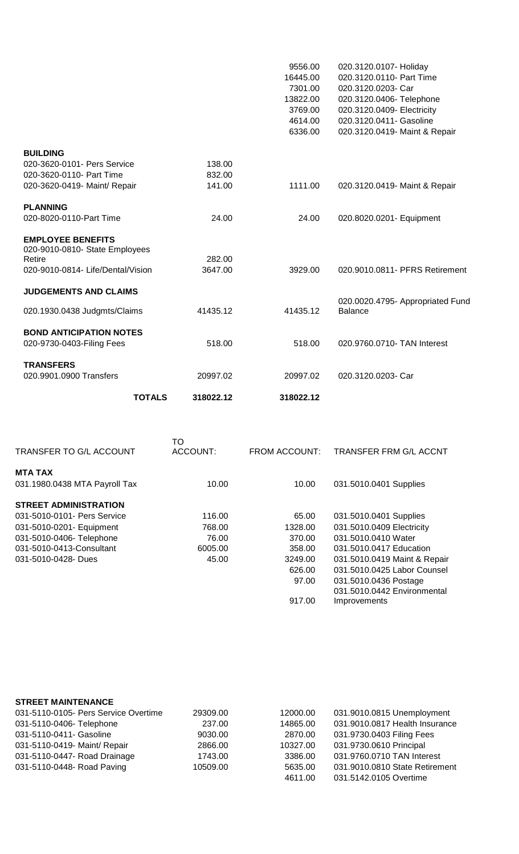|                                                                               | <b>TOTALS</b> | 318022.12         | 318022.12 |                                                    |
|-------------------------------------------------------------------------------|---------------|-------------------|-----------|----------------------------------------------------|
| <b>TRANSFERS</b><br>020.9901.0900 Transfers                                   |               | 20997.02          | 20997.02  | 020.3120.0203- Car                                 |
| <b>BOND ANTICIPATION NOTES</b><br>020-9730-0403-Filing Fees                   |               | 518.00            | 518.00    | 020.9760.0710- TAN Interest                        |
| 020.1930.0438 Judgmts/Claims                                                  |               | 41435.12          | 41435.12  | 020.0020.4795- Appropriated Fund<br><b>Balance</b> |
| <b>JUDGEMENTS AND CLAIMS</b>                                                  |               |                   |           |                                                    |
| 020-9010-0810- State Employees<br>Retire<br>020-9010-0814- Life/Dental/Vision |               | 282.00<br>3647.00 | 3929.00   | 020.9010.0811- PFRS Retirement                     |
| <b>EMPLOYEE BENEFITS</b>                                                      |               |                   |           |                                                    |
| <b>PLANNING</b><br>020-8020-0110-Part Time                                    |               | 24.00             | 24.00     | 020.8020.0201- Equipment                           |
| 020-3620-0419- Maint/ Repair                                                  |               | 141.00            | 1111.00   | 020.3120.0419- Maint & Repair                      |
| 020-3620-0110- Part Time                                                      |               | 832.00            |           |                                                    |
| <b>BUILDING</b><br>020-3620-0101- Pers Service                                |               | 138.00            |           |                                                    |
|                                                                               |               |                   | 6336.00   | 020.3120.0419- Maint & Repair                      |
|                                                                               |               |                   | 4614.00   | 020.3120.0411- Gasoline                            |
|                                                                               |               |                   | 3769.00   | 020.3120.0409- Electricity                         |
|                                                                               |               |                   | 13822.00  | 020.3120.0406- Telephone                           |
|                                                                               |               |                   | 7301.00   | 020.3120.0203- Car                                 |
|                                                                               |               |                   | 16445.00  | 020.3120.0110- Part Time                           |
|                                                                               |               |                   | 9556.00   | 020.3120.0107- Holiday                             |

| <b>TRANSFER TO G/L ACCOUNT</b> | TO<br>ACCOUNT: | <b>FROM ACCOUNT:</b> | TRANSFER FRM G/L ACCNT       |
|--------------------------------|----------------|----------------------|------------------------------|
| <b>MTA TAX</b>                 |                |                      |                              |
| 031.1980.0438 MTA Payroll Tax  | 10.00          | 10.00                | 031.5010.0401 Supplies       |
| <b>STREET ADMINISTRATION</b>   |                |                      |                              |
| 031-5010-0101- Pers Service    | 116.00         | 65.00                | 031.5010.0401 Supplies       |
| 031-5010-0201- Equipment       | 768.00         | 1328.00              | 031.5010.0409 Electricity    |
| 031-5010-0406- Telephone       | 76.00          | 370.00               | 031.5010.0410 Water          |
| 031-5010-0413-Consultant       | 6005.00        | 358.00               | 031.5010.0417 Education      |
| 031-5010-0428- Dues            | 45.00          | 3249.00              | 031.5010.0419 Maint & Repair |
|                                |                | 626.00               | 031.5010.0425 Labor Counsel  |
|                                |                | 97.00                | 031.5010.0436 Postage        |
|                                |                |                      | 031.5010.0442 Environmental  |
|                                |                | 917.00               | Improvements                 |

| <b>STREET MAINTENANCE</b>            |          |          |                                |
|--------------------------------------|----------|----------|--------------------------------|
| 031-5110-0105- Pers Service Overtime | 29309.00 | 12000.00 | 031.9010.0815 Unemployment     |
| 031-5110-0406- Telephone             | 237.00   | 14865.00 | 031.9010.0817 Health Insurance |
| 031-5110-0411- Gasoline              | 9030.00  | 2870.00  | 031.9730.0403 Filing Fees      |
| 031-5110-0419- Maint/ Repair         | 2866.00  | 10327.00 | 031.9730.0610 Principal        |
| 031-5110-0447- Road Drainage         | 1743.00  | 3386.00  | 031.9760.0710 TAN Interest     |
| 031-5110-0448- Road Paving           | 10509.00 | 5635.00  | 031.9010.0810 State Retirement |
|                                      |          | 4611.00  | 031.5142.0105 Overtime         |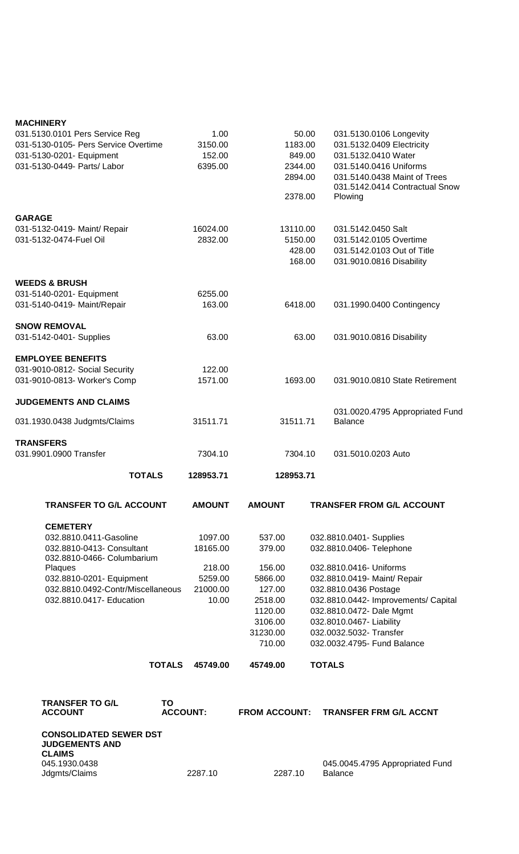### **MACHINERY**

| 031.5130.0101 Pers Service Reg<br>031-5130-0105- Pers Service Overtime<br>031-5130-0201- Equipment<br>031-5130-0449- Parts/ Labor |                       | 1.00<br>3150.00<br>152.00<br>6395.00 |                      | 50.00<br>1183.00<br>849.00<br>2344.00<br>2894.00<br>2378.00 | 031.5130.0106 Longevity<br>031.5132.0409 Electricity<br>031.5132.0410 Water<br>031.5140.0416 Uniforms<br>031.5140.0438 Maint of Trees<br>031.5142.0414 Contractual Snow<br>Plowing |
|-----------------------------------------------------------------------------------------------------------------------------------|-----------------------|--------------------------------------|----------------------|-------------------------------------------------------------|------------------------------------------------------------------------------------------------------------------------------------------------------------------------------------|
| <b>GARAGE</b><br>031-5132-0419- Maint/ Repair                                                                                     |                       | 16024.00                             |                      | 13110.00                                                    | 031.5142.0450 Salt                                                                                                                                                                 |
| 031-5132-0474-Fuel Oil                                                                                                            |                       | 2832.00                              |                      | 5150.00<br>428.00<br>168.00                                 | 031.5142.0105 Overtime<br>031.5142.0103 Out of Title<br>031.9010.0816 Disability                                                                                                   |
| <b>WEEDS &amp; BRUSH</b>                                                                                                          |                       |                                      |                      |                                                             |                                                                                                                                                                                    |
| 031-5140-0201- Equipment                                                                                                          |                       | 6255.00                              |                      |                                                             |                                                                                                                                                                                    |
| 031-5140-0419- Maint/Repair                                                                                                       |                       | 163.00                               |                      | 6418.00                                                     | 031.1990.0400 Contingency                                                                                                                                                          |
| <b>SNOW REMOVAL</b>                                                                                                               |                       |                                      |                      |                                                             |                                                                                                                                                                                    |
| 031-5142-0401- Supplies                                                                                                           |                       | 63.00                                |                      | 63.00                                                       | 031.9010.0816 Disability                                                                                                                                                           |
| <b>EMPLOYEE BENEFITS</b>                                                                                                          |                       |                                      |                      |                                                             |                                                                                                                                                                                    |
| 031-9010-0812- Social Security                                                                                                    |                       | 122.00                               |                      |                                                             |                                                                                                                                                                                    |
| 031-9010-0813- Worker's Comp                                                                                                      |                       | 1571.00                              |                      | 1693.00                                                     | 031.9010.0810 State Retirement                                                                                                                                                     |
| <b>JUDGEMENTS AND CLAIMS</b>                                                                                                      |                       |                                      |                      |                                                             |                                                                                                                                                                                    |
| 031.1930.0438 Judgmts/Claims                                                                                                      |                       | 31511.71                             |                      | 31511.71                                                    | 031.0020.4795 Appropriated Fund<br><b>Balance</b>                                                                                                                                  |
| <b>TRANSFERS</b>                                                                                                                  |                       |                                      |                      |                                                             |                                                                                                                                                                                    |
| 031.9901.0900 Transfer                                                                                                            |                       | 7304.10                              |                      | 7304.10                                                     | 031.5010.0203 Auto                                                                                                                                                                 |
| <b>TOTALS</b>                                                                                                                     |                       | 128953.71                            | 128953.71            |                                                             |                                                                                                                                                                                    |
| <b>TRANSFER TO G/L ACCOUNT</b>                                                                                                    |                       | <b>AMOUNT</b>                        | <b>AMOUNT</b>        |                                                             | <b>TRANSFER FROM G/L ACCOUNT</b>                                                                                                                                                   |
| <b>CEMETERY</b>                                                                                                                   |                       |                                      |                      |                                                             |                                                                                                                                                                                    |
| 032.8810.0411-Gasoline                                                                                                            |                       | 1097.00                              | 537.00               |                                                             | 032.8810.0401- Supplies                                                                                                                                                            |
| 032.8810-0413- Consultant<br>032.8810-0466- Columbarium                                                                           |                       | 18165.00                             | 379.00               |                                                             | 032.8810.0406- Telephone                                                                                                                                                           |
| Plaques                                                                                                                           |                       | 218.00                               | 156.00               |                                                             | 032.8810.0416- Uniforms                                                                                                                                                            |
| 032.8810-0201- Equipment                                                                                                          |                       | 5259.00                              | 5866.00              |                                                             | 032.8810.0419- Maint/ Repair                                                                                                                                                       |
| 032.8810.0492-Contr/Miscellaneous                                                                                                 |                       | 21000.00                             | 127.00               |                                                             | 032.8810.0436 Postage                                                                                                                                                              |
| 032.8810.0417- Education                                                                                                          |                       | 10.00                                | 2518.00              |                                                             | 032.8810.0442- Improvements/ Capital                                                                                                                                               |
|                                                                                                                                   |                       |                                      | 1120.00              |                                                             | 032.8810.0472- Dale Mgmt                                                                                                                                                           |
|                                                                                                                                   |                       |                                      | 3106.00              |                                                             | 032.8010.0467- Liability                                                                                                                                                           |
|                                                                                                                                   |                       |                                      | 31230.00<br>710.00   |                                                             | 032.0032.5032- Transfer<br>032.0032.4795- Fund Balance                                                                                                                             |
|                                                                                                                                   | <b>TOTALS</b>         | 45749.00                             | 45749.00             |                                                             | <b>TOTALS</b>                                                                                                                                                                      |
|                                                                                                                                   |                       |                                      |                      |                                                             |                                                                                                                                                                                    |
| <b>TRANSFER TO G/L</b><br><b>ACCOUNT</b>                                                                                          | TO<br><b>ACCOUNT:</b> |                                      | <b>FROM ACCOUNT:</b> |                                                             | <b>TRANSFER FRM G/L ACCNT</b>                                                                                                                                                      |
| <b>CONSOLIDATED SEWER DST</b><br><b>JUDGEMENTS AND</b>                                                                            |                       |                                      |                      |                                                             |                                                                                                                                                                                    |
| <b>CLAIMS</b><br>045.1930.0438<br>Jdgmts/Claims                                                                                   |                       | 2287.10                              | 2287.10              |                                                             | 045.0045.4795 Appropriated Fund<br><b>Balance</b>                                                                                                                                  |
|                                                                                                                                   |                       |                                      |                      |                                                             |                                                                                                                                                                                    |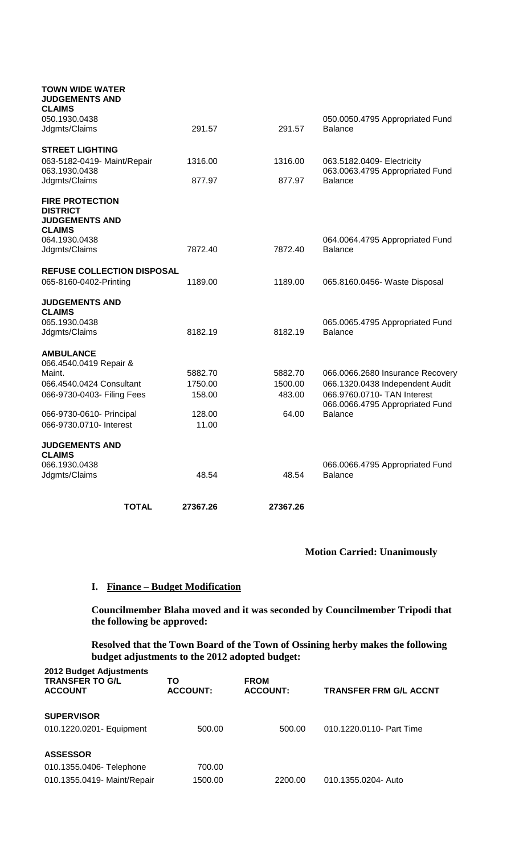| <b>TOTAL</b>                                                               | 27367.26 | 27367.26 |                                                                |
|----------------------------------------------------------------------------|----------|----------|----------------------------------------------------------------|
|                                                                            |          |          |                                                                |
| 066.1930.0438<br>Jdgmts/Claims                                             | 48.54    | 48.54    | 066.0066.4795 Appropriated Fund<br><b>Balance</b>              |
| <b>JUDGEMENTS AND</b><br><b>CLAIMS</b>                                     |          |          |                                                                |
| 066-9730.0710- Interest                                                    | 11.00    |          |                                                                |
| 066-9730-0610- Principal                                                   | 128.00   | 64.00    | <b>Balance</b>                                                 |
| 066-9730-0403- Filing Fees                                                 | 158.00   | 483.00   | 066.9760.0710- TAN Interest<br>066.0066.4795 Appropriated Fund |
| 066.4540.0424 Consultant                                                   | 1750.00  | 1500.00  | 066.1320.0438 Independent Audit                                |
| <b>AMBULANCE</b><br>066.4540.0419 Repair &<br>Maint.                       | 5882.70  | 5882.70  | 066.0066.2680 Insurance Recovery                               |
| Jdgmts/Claims                                                              | 8182.19  | 8182.19  | <b>Balance</b>                                                 |
| <b>JUDGEMENTS AND</b><br><b>CLAIMS</b><br>065.1930.0438                    |          |          | 065.0065.4795 Appropriated Fund                                |
|                                                                            |          |          |                                                                |
| <b>REFUSE COLLECTION DISPOSAL</b><br>065-8160-0402-Printing                | 1189.00  | 1189.00  | 065.8160.0456- Waste Disposal                                  |
| Jdgmts/Claims                                                              | 7872.40  | 7872.40  | <b>Balance</b>                                                 |
| <b>DISTRICT</b><br><b>JUDGEMENTS AND</b><br><b>CLAIMS</b><br>064.1930.0438 |          |          | 064.0064.4795 Appropriated Fund                                |
| <b>FIRE PROTECTION</b>                                                     |          |          |                                                                |
| Jdgmts/Claims                                                              | 877.97   | 877.97   | <b>Balance</b>                                                 |
| <b>STREET LIGHTING</b><br>063-5182-0419- Maint/Repair<br>063.1930.0438     | 1316.00  | 1316.00  | 063.5182.0409- Electricity<br>063.0063.4795 Appropriated Fund  |
| Jdgmts/Claims                                                              | 291.57   | 291.57   | <b>Balance</b>                                                 |
| <b>CLAIMS</b><br>050.1930.0438                                             |          |          | 050.0050.4795 Appropriated Fund                                |
| <b>TOWN WIDE WATER</b><br><b>JUDGEMENTS AND</b>                            |          |          |                                                                |

# **Motion Carried: Unanimously**

### **I. Finance – Budget Modification**

**Councilmember Blaha moved and it was seconded by Councilmember Tripodi that the following be approved:**

**Resolved that the Town Board of the Town of Ossining herby makes the following budget adjustments to the 2012 adopted budget:**

| 2012 Budget Adjustments<br><b>TRANSFER TO G/L</b><br><b>ACCOUNT</b> | ΤО<br><b>ACCOUNT:</b> | <b>FROM</b><br><b>ACCOUNT:</b> | <b>TRANSFER FRM G/L ACCNT</b> |
|---------------------------------------------------------------------|-----------------------|--------------------------------|-------------------------------|
| <b>SUPERVISOR</b>                                                   |                       |                                |                               |
| 010.1220.0201- Equipment                                            | 500.00                | 500.00                         | 010.1220.0110- Part Time      |
| <b>ASSESSOR</b>                                                     |                       |                                |                               |
| 010.1355.0406- Telephone                                            | 700.00                |                                |                               |
| 010.1355.0419- Maint/Repair                                         | 1500.00               | 2200.00                        | 010.1355.0204- Auto           |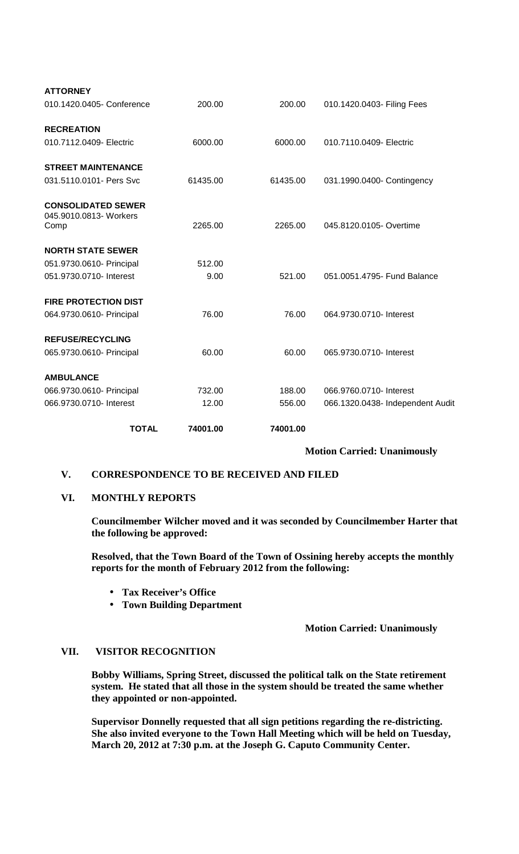| <b>TOTAL</b>                                                | 74001.00 | 74001.00 |                                  |
|-------------------------------------------------------------|----------|----------|----------------------------------|
| 066.9730.0710- Interest                                     | 12.00    | 556.00   | 066.1320.0438- Independent Audit |
| 066.9730.0610- Principal                                    | 732.00   | 188.00   | 066.9760.0710- Interest          |
| <b>AMBULANCE</b>                                            |          |          |                                  |
| 065.9730.0610- Principal                                    | 60.00    | 60.00    | 065.9730.0710- Interest          |
| <b>REFUSE/RECYCLING</b>                                     |          |          |                                  |
| 064.9730.0610- Principal                                    | 76.00    | 76.00    | 064.9730.0710- Interest          |
| <b>FIRE PROTECTION DIST</b>                                 |          |          |                                  |
| 051.9730.0710- Interest                                     | 9.00     | 521.00   | 051.0051.4795- Fund Balance      |
| 051.9730.0610- Principal                                    | 512.00   |          |                                  |
| <b>NORTH STATE SEWER</b>                                    |          |          |                                  |
| <b>CONSOLIDATED SEWER</b><br>045.9010.0813- Workers<br>Comp | 2265.00  | 2265.00  | 045.8120.0105- Overtime          |
|                                                             |          |          |                                  |
| <b>STREET MAINTENANCE</b><br>031.5110.0101- Pers Svc        | 61435.00 | 61435.00 | 031.1990.0400- Contingency       |
| 010.7112.0409- Electric                                     | 6000.00  | 6000.00  | 010.7110.0409- Electric          |
| <b>RECREATION</b>                                           |          |          |                                  |
| 010.1420.0405- Conference                                   | 200.00   | 200.00   | 010.1420.0403- Filing Fees       |
| <b>ATTORNEY</b>                                             |          |          |                                  |

### **Motion Carried: Unanimously**

### **V. CORRESPONDENCE TO BE RECEIVED AND FILED**

## **VI. MONTHLY REPORTS**

**Councilmember Wilcher moved and it was seconded by Councilmember Harter that the following be approved:**

**Resolved, that the Town Board of the Town of Ossining hereby accepts the monthly reports for the month of February 2012 from the following:**

- **Tax Receiver's Office**
- **Town Building Department**  $\mathbf{L}^{\text{max}}$

### **Motion Carried: Unanimously**

### **VII. VISITOR RECOGNITION**

**Bobby Williams, Spring Street, discussed the political talk on the State retirement system. He stated that all those in the system should be treated the same whether they appointed or non-appointed.**

**Supervisor Donnelly requested that all sign petitions regarding the re-districting. She also invited everyone to the Town Hall Meeting which will be held on Tuesday, March 20, 2012 at 7:30 p.m. at the Joseph G. Caputo Community Center.**